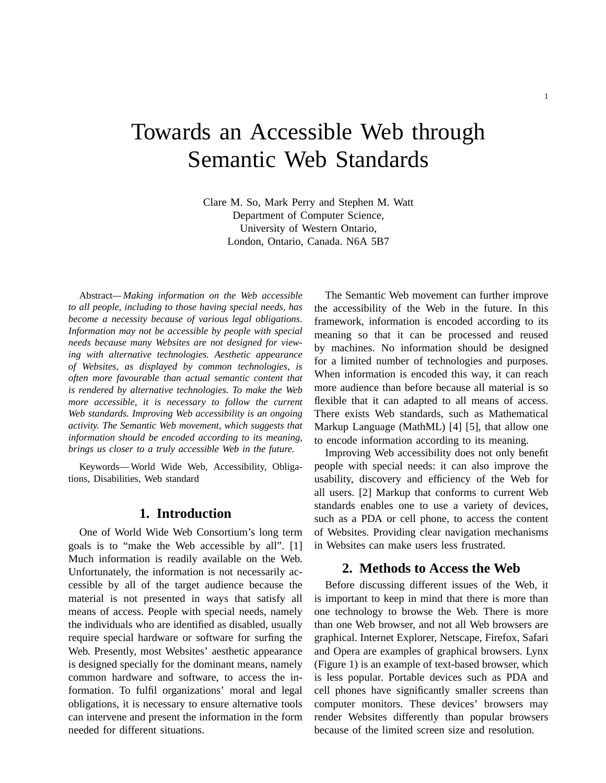# Towards an Accessible Web through Semantic Web Standards

Clare M. So, Mark Perry and Stephen M. Watt Department of Computer Science, University of Western Ontario, London, Ontario, Canada. N6A 5B7

Abstract*— Making information on the Web accessible to all people, including to those having special needs, has become a necessity because of various legal obligations. Information may not be accessible by people with special needs because many Websites are not designed for viewing with alternative technologies. Aesthetic appearance of Websites, as displayed by common technologies, is often more favourable than actual semantic content that is rendered by alternative technologies. To make the Web more accessible, it is necessary to follow the current Web standards. Improving Web accessibility is an ongoing activity. The Semantic Web movement, which suggests that information should be encoded according to its meaning, brings us closer to a truly accessible Web in the future.*

Keywords— World Wide Web, Accessibility, Obligations, Disabilities, Web standard

## **1. Introduction**

One of World Wide Web Consortium's long term goals is to "make the Web accessible by all". [1] Much information is readily available on the Web. Unfortunately, the information is not necessarily accessible by all of the target audience because the material is not presented in ways that satisfy all means of access. People with special needs, namely the individuals who are identified as disabled, usually require special hardware or software for surfing the Web. Presently, most Websites' aesthetic appearance is designed specially for the dominant means, namely common hardware and software, to access the information. To fulfil organizations' moral and legal obligations, it is necessary to ensure alternative tools can intervene and present the information in the form needed for different situations.

The Semantic Web movement can further improve the accessibility of the Web in the future. In this framework, information is encoded according to its meaning so that it can be processed and reused by machines. No information should be designed for a limited number of technologies and purposes. When information is encoded this way, it can reach more audience than before because all material is so flexible that it can adapted to all means of access. There exists Web standards, such as Mathematical Markup Language (MathML) [4] [5], that allow one to encode information according to its meaning.

Improving Web accessibility does not only benefit people with special needs: it can also improve the usability, discovery and efficiency of the Web for all users. [2] Markup that conforms to current Web standards enables one to use a variety of devices, such as a PDA or cell phone, to access the content of Websites. Providing clear navigation mechanisms in Websites can make users less frustrated.

## **2. Methods to Access the Web**

Before discussing different issues of the Web, it is important to keep in mind that there is more than one technology to browse the Web. There is more than one Web browser, and not all Web browsers are graphical. Internet Explorer, Netscape, Firefox, Safari and Opera are examples of graphical browsers. Lynx (Figure 1) is an example of text-based browser, which is less popular. Portable devices such as PDA and cell phones have significantly smaller screens than computer monitors. These devices' browsers may render Websites differently than popular browsers because of the limited screen size and resolution.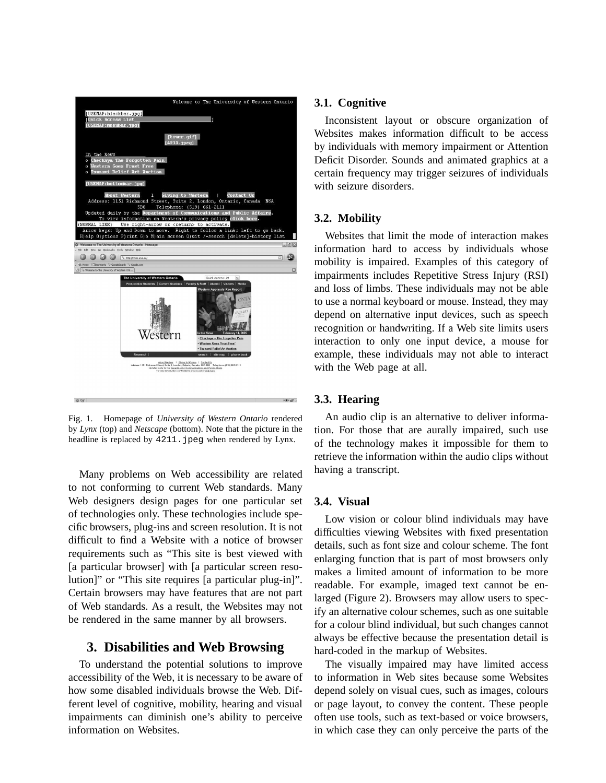

Fig. 1. Homepage of *University of Western Ontario* rendered by *Lynx* (top) and *Netscape* (bottom). Note that the picture in the headline is replaced by 4211. jpeg when rendered by Lynx.

Many problems on Web accessibility are related to not conforming to current Web standards. Many Web designers design pages for one particular set of technologies only. These technologies include specific browsers, plug-ins and screen resolution. It is not difficult to find a Website with a notice of browser requirements such as "This site is best viewed with [a particular browser] with [a particular screen resolution]" or "This site requires [a particular plug-in]". Certain browsers may have features that are not part of Web standards. As a result, the Websites may not be rendered in the same manner by all browsers.

## **3. Disabilities and Web Browsing**

To understand the potential solutions to improve accessibility of the Web, it is necessary to be aware of how some disabled individuals browse the Web. Different level of cognitive, mobility, hearing and visual impairments can diminish one's ability to perceive information on Websites.

## **3.1. Cognitive**

Inconsistent layout or obscure organization of Websites makes information difficult to be access by individuals with memory impairment or Attention Deficit Disorder. Sounds and animated graphics at a certain frequency may trigger seizures of individuals with seizure disorders.

#### **3.2. Mobility**

Websites that limit the mode of interaction makes information hard to access by individuals whose mobility is impaired. Examples of this category of impairments includes Repetitive Stress Injury (RSI) and loss of limbs. These individuals may not be able to use a normal keyboard or mouse. Instead, they may depend on alternative input devices, such as speech recognition or handwriting. If a Web site limits users interaction to only one input device, a mouse for example, these individuals may not able to interact with the Web page at all.

## **3.3. Hearing**

An audio clip is an alternative to deliver information. For those that are aurally impaired, such use of the technology makes it impossible for them to retrieve the information within the audio clips without having a transcript.

#### **3.4. Visual**

Low vision or colour blind individuals may have difficulties viewing Websites with fixed presentation details, such as font size and colour scheme. The font enlarging function that is part of most browsers only makes a limited amount of information to be more readable. For example, imaged text cannot be enlarged (Figure 2). Browsers may allow users to specify an alternative colour schemes, such as one suitable for a colour blind individual, but such changes cannot always be effective because the presentation detail is hard-coded in the markup of Websites.

The visually impaired may have limited access to information in Web sites because some Websites depend solely on visual cues, such as images, colours or page layout, to convey the content. These people often use tools, such as text-based or voice browsers, in which case they can only perceive the parts of the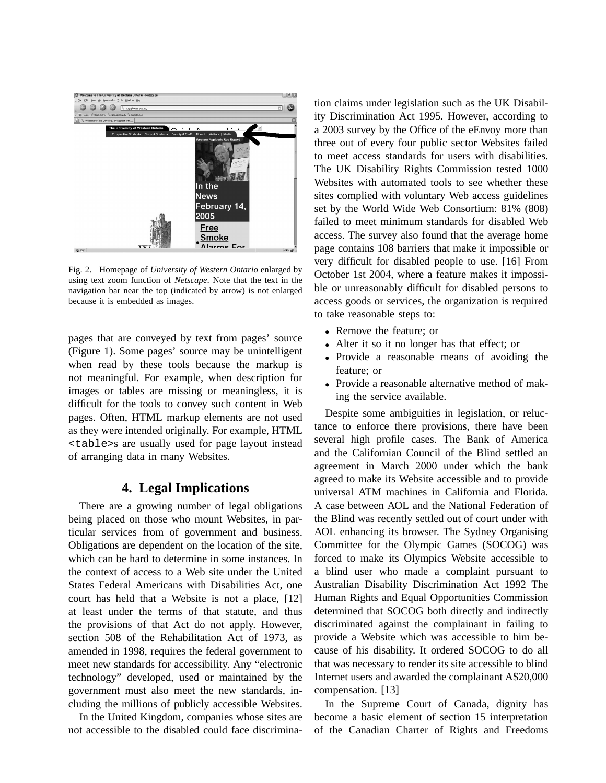

Fig. 2. Homepage of *University of Western Ontario* enlarged by using text zoom function of *Netscape*. Note that the text in the navigation bar near the top (indicated by arrow) is not enlarged because it is embedded as images.

pages that are conveyed by text from pages' source (Figure 1). Some pages' source may be unintelligent when read by these tools because the markup is not meaningful. For example, when description for images or tables are missing or meaningless, it is difficult for the tools to convey such content in Web pages. Often, HTML markup elements are not used as they were intended originally. For example, HTML <table>s are usually used for page layout instead of arranging data in many Websites.

## **4. Legal Implications**

There are a growing number of legal obligations being placed on those who mount Websites, in particular services from of government and business. Obligations are dependent on the location of the site, which can be hard to determine in some instances. In the context of access to a Web site under the United States Federal Americans with Disabilities Act, one court has held that a Website is not a place, [12] at least under the terms of that statute, and thus the provisions of that Act do not apply. However, section 508 of the Rehabilitation Act of 1973, as amended in 1998, requires the federal government to meet new standards for accessibility. Any "electronic technology" developed, used or maintained by the government must also meet the new standards, including the millions of publicly accessible Websites.

In the United Kingdom, companies whose sites are not accessible to the disabled could face discrimina-

tion claims under legislation such as the UK Disability Discrimination Act 1995. However, according to a 2003 survey by the Office of the eEnvoy more than three out of every four public sector Websites failed to meet access standards for users with disabilities. The UK Disability Rights Commission tested 1000 Websites with automated tools to see whether these sites complied with voluntary Web access guidelines set by the World Wide Web Consortium: 81% (808) failed to meet minimum standards for disabled Web access. The survey also found that the average home page contains 108 barriers that make it impossible or very difficult for disabled people to use. [16] From October 1st 2004, where a feature makes it impossible or unreasonably difficult for disabled persons to access goods or services, the organization is required to take reasonable steps to:

- Remove the feature; or
- Alter it so it no longer has that effect; or
- Provide a reasonable means of avoiding the feature; or
- Provide a reasonable alternative method of making the service available.

Despite some ambiguities in legislation, or reluctance to enforce there provisions, there have been several high profile cases. The Bank of America and the Californian Council of the Blind settled an agreement in March 2000 under which the bank agreed to make its Website accessible and to provide universal ATM machines in California and Florida. A case between AOL and the National Federation of the Blind was recently settled out of court under with AOL enhancing its browser. The Sydney Organising Committee for the Olympic Games (SOCOG) was forced to make its Olympics Website accessible to a blind user who made a complaint pursuant to Australian Disability Discrimination Act 1992 The Human Rights and Equal Opportunities Commission determined that SOCOG both directly and indirectly discriminated against the complainant in failing to provide a Website which was accessible to him because of his disability. It ordered SOCOG to do all that was necessary to render its site accessible to blind Internet users and awarded the complainant A\$20,000 compensation. [13]

In the Supreme Court of Canada, dignity has become a basic element of section 15 interpretation of the Canadian Charter of Rights and Freedoms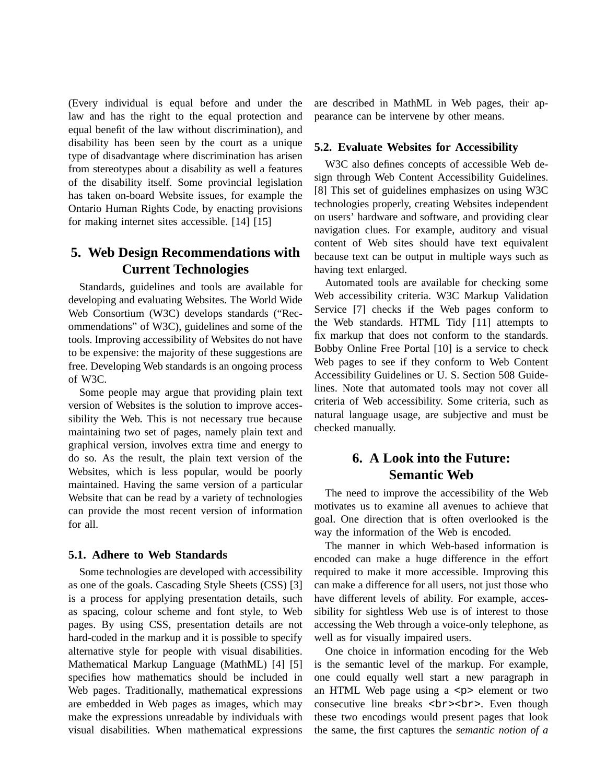(Every individual is equal before and under the law and has the right to the equal protection and equal benefit of the law without discrimination), and disability has been seen by the court as a unique type of disadvantage where discrimination has arisen from stereotypes about a disability as well a features of the disability itself. Some provincial legislation has taken on-board Website issues, for example the Ontario Human Rights Code, by enacting provisions for making internet sites accessible. [14] [15]

## **5. Web Design Recommendations with Current Technologies**

Standards, guidelines and tools are available for developing and evaluating Websites. The World Wide Web Consortium (W3C) develops standards ("Recommendations" of W3C), guidelines and some of the tools. Improving accessibility of Websites do not have to be expensive: the majority of these suggestions are free. Developing Web standards is an ongoing process of W3C.

Some people may argue that providing plain text version of Websites is the solution to improve accessibility the Web. This is not necessary true because maintaining two set of pages, namely plain text and graphical version, involves extra time and energy to do so. As the result, the plain text version of the Websites, which is less popular, would be poorly maintained. Having the same version of a particular Website that can be read by a variety of technologies can provide the most recent version of information for all.

#### **5.1. Adhere to Web Standards**

Some technologies are developed with accessibility as one of the goals. Cascading Style Sheets (CSS) [3] is a process for applying presentation details, such as spacing, colour scheme and font style, to Web pages. By using CSS, presentation details are not hard-coded in the markup and it is possible to specify alternative style for people with visual disabilities. Mathematical Markup Language (MathML) [4] [5] specifies how mathematics should be included in Web pages. Traditionally, mathematical expressions are embedded in Web pages as images, which may make the expressions unreadable by individuals with visual disabilities. When mathematical expressions are described in MathML in Web pages, their appearance can be intervene by other means.

#### **5.2. Evaluate Websites for Accessibility**

W3C also defines concepts of accessible Web design through Web Content Accessibility Guidelines. [8] This set of guidelines emphasizes on using W3C technologies properly, creating Websites independent on users' hardware and software, and providing clear navigation clues. For example, auditory and visual content of Web sites should have text equivalent because text can be output in multiple ways such as having text enlarged.

Automated tools are available for checking some Web accessibility criteria. W3C Markup Validation Service [7] checks if the Web pages conform to the Web standards. HTML Tidy [11] attempts to fix markup that does not conform to the standards. Bobby Online Free Portal [10] is a service to check Web pages to see if they conform to Web Content Accessibility Guidelines or U. S. Section 508 Guidelines. Note that automated tools may not cover all criteria of Web accessibility. Some criteria, such as natural language usage, are subjective and must be checked manually.

# **6. A Look into the Future: Semantic Web**

The need to improve the accessibility of the Web motivates us to examine all avenues to achieve that goal. One direction that is often overlooked is the way the information of the Web is encoded.

The manner in which Web-based information is encoded can make a huge difference in the effort required to make it more accessible. Improving this can make a difference for all users, not just those who have different levels of ability. For example, accessibility for sightless Web use is of interest to those accessing the Web through a voice-only telephone, as well as for visually impaired users.

One choice in information encoding for the Web is the semantic level of the markup. For example, one could equally well start a new paragraph in an HTML Web page using a  $\langle p \rangle$  element or two consecutive line breaks <br><br>. Even though these two encodings would present pages that look the same, the first captures the *semantic notion of a*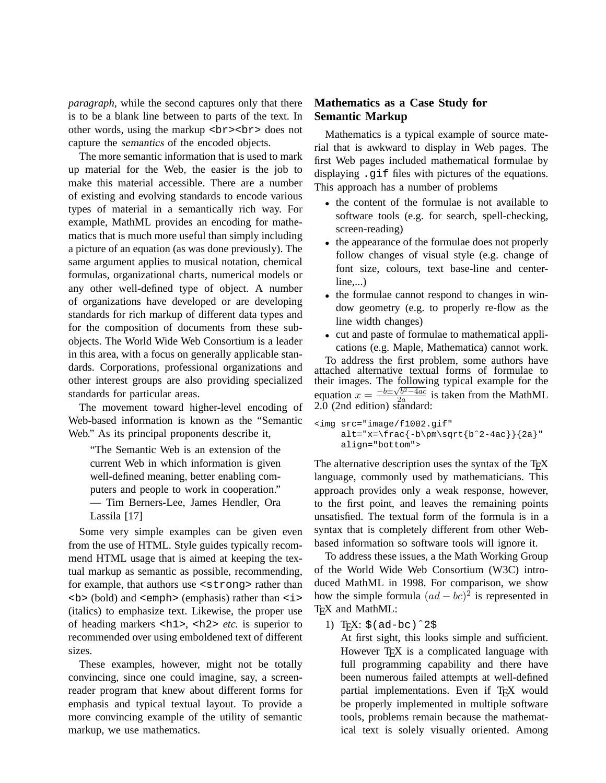*paragraph*, while the second captures only that there is to be a blank line between to parts of the text. In other words, using the markup  $\langle b \rangle$   $\langle b \rangle$  and  $\langle b \rangle$ capture the semantics of the encoded objects.

The more semantic information that is used to mark up material for the Web, the easier is the job to make this material accessible. There are a number of existing and evolving standards to encode various types of material in a semantically rich way. For example, MathML provides an encoding for mathematics that is much more useful than simply including a picture of an equation (as was done previously). The same argument applies to musical notation, chemical formulas, organizational charts, numerical models or any other well-defined type of object. A number of organizations have developed or are developing standards for rich markup of different data types and for the composition of documents from these subobjects. The World Wide Web Consortium is a leader in this area, with a focus on generally applicable standards. Corporations, professional organizations and other interest groups are also providing specialized standards for particular areas.

The movement toward higher-level encoding of Web-based information is known as the "Semantic Web." As its principal proponents describe it,

"The Semantic Web is an extension of the current Web in which information is given well-defined meaning, better enabling computers and people to work in cooperation." — Tim Berners-Lee, James Hendler, Ora Lassila [17]

Some very simple examples can be given even from the use of HTML. Style guides typically recommend HTML usage that is aimed at keeping the textual markup as semantic as possible, recommending, for example, that authors use <strong> rather than <b> (bold) and <emph> (emphasis) rather than <i> (italics) to emphasize text. Likewise, the proper use of heading markers <h1>, <h2> *etc.* is superior to recommended over using emboldened text of different sizes.

These examples, however, might not be totally convincing, since one could imagine, say, a screenreader program that knew about different forms for emphasis and typical textual layout. To provide a more convincing example of the utility of semantic markup, we use mathematics.

## **Mathematics as a Case Study for Semantic Markup**

Mathematics is a typical example of source material that is awkward to display in Web pages. The first Web pages included mathematical formulae by displaying .gif files with pictures of the equations. This approach has a number of problems

- the content of the formulae is not available to software tools (e.g. for search, spell-checking, screen-reading)
- the appearance of the formulae does not properly follow changes of visual style (e.g. change of font size, colours, text base-line and centerline,...)
- the formulae cannot respond to changes in window geometry (e.g. to properly re-flow as the line width changes)
- cut and paste of formulae to mathematical applications (e.g. Maple, Mathematica) cannot work.

To address the first problem, some authors have attached alternative textual forms of formulae to their images. The following typical example for the equation  $x = \frac{-b \pm \sqrt{b^2 - 4ac}}{2a}$  $\frac{2a}{2a}$  is taken from the MathML  $2.0$  (2nd edition) standard:

```
<img src="image/f1002.gif"
     alt="x=\frac{-b\pm\sqrt{b^2-4ac}}{2a}"
     align="bottom">
```
The alternative description uses the syntax of the  $T<sub>F</sub>X$ language, commonly used by mathematicians. This approach provides only a weak response, however, to the first point, and leaves the remaining points unsatisfied. The textual form of the formula is in a syntax that is completely different from other Webbased information so software tools will ignore it.

To address these issues, a the Math Working Group of the World Wide Web Consortium (W3C) introduced MathML in 1998. For comparison, we show how the simple formula  $(ad - bc)^2$  is represented in T<sub>E</sub>X and MathML:

1) T<sub>E</sub>X:  $\frac{2}{5}$  (ad-bc)  $^{\circ}2\frac{1}{5}$ 

At first sight, this looks simple and sufficient. However T<sub>F</sub>X is a complicated language with full programming capability and there have been numerous failed attempts at well-defined partial implementations. Even if TFX would be properly implemented in multiple software tools, problems remain because the mathematical text is solely visually oriented. Among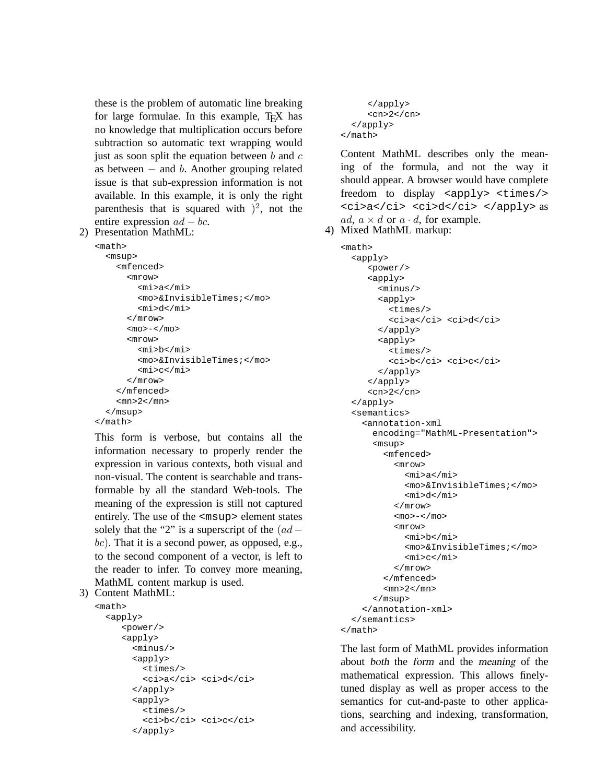these is the problem of automatic line breaking for large formulae. In this example, T<sub>EX</sub> has no knowledge that multiplication occurs before subtraction so automatic text wrapping would just as soon split the equation between  $b$  and  $c$ as between  $-$  and  $b$ . Another grouping related issue is that sub-expression information is not available. In this example, it is only the right parenthesis that is squared with  $)^2$ , not the entire expression  $ad - bc$ .

2) Presentation MathML:

```
<math>math</math><msup>
     <mfenced>
       <mrow>
          <sub>min</sub> > a < /m1 ></sub>
          <mo>&InvisibleTimes;</mo>
          <mi>d</mi>
       </mrow>
        <sub>0</sub> < < /mo></sub>
        <mrow>
          <mi>b</mi>
          <mo>&InvisibleTimes;</mo>
          <mi>c</mi>
        </mrow>
     </mfenced>
     <mn>2</mn>
  </msup>
</math>
```
This form is verbose, but contains all the information necessary to properly render the expression in various contexts, both visual and non-visual. The content is searchable and transformable by all the standard Web-tools. The meaning of the expression is still not captured entirely. The use of the <msup> element states solely that the "2" is a superscript of the  $(ad$  $bc$ ). That it is a second power, as opposed, e.g., to the second component of a vector, is left to the reader to infer. To convey more meaning, MathML content markup is used.

```
3) Content MathML:
```

```
<math>math</math><apply>
     <power/>
     <apply>
       <minus/>
       <apply>
          <times/>
          <ci>a</ci> <ci>d</ci>
       </apply>
       <apply>
          <times/>
          <ci>b</ci> <ci>c</ci>
       </apply>
```

```
</apply>
     <cn>2</cn>
 </apply>
</math>
```
Content MathML describes only the meaning of the formula, and not the way it should appear. A browser would have complete freedom to display  $\langle$   $\rangle$   $\langle$   $\rangle$   $\langle$   $\rangle$   $\langle$   $\rangle$   $\langle$   $\rangle$   $\langle$   $\rangle$   $\langle$   $\rangle$   $\langle$   $\rangle$   $\langle$   $\rangle$   $\langle$   $\rangle$   $\langle$   $\rangle$   $\langle$   $\rangle$   $\langle$   $\rangle$   $\langle$   $\rangle$   $\langle$   $\rangle$   $\langle$   $\rangle$   $\langle$   $\rangle$   $\langle$   $\rangle$   $\langle$   $\rangle$   $\langle$   $\rangle$   $\$ <ci>a</ci> <ci>d</ci> </apply> as ad,  $a \times d$  or  $a \cdot d$ , for example.

```
4) Mixed MathML markup:
```

```
<math>math<apply>
     <power/>
     <apply>
       <minus/>
       <apply>
          <times/>
          <ci>a</ci> <ci>d</ci>
        </apply>
        <apply>
          <times/>
          <ci>b</ci> <ci>c</ci>
        </apply>
     </apply>
     <cn>2</cn>
  </apply>
  <semantics>
    <annotation-xml
      encoding="MathML-Presentation">
       <msup>
         <mfenced>
           <mrow>
              <mi>a</mi>
              <mo>&InvisibleTimes;</mo>
              <mi>d</mi></mrow>
           <mo>-</mo><mrow>
              <mi>b</mi>
              <mo>&InvisibleTimes;</mo>
              <sub>m</sub><sub>c</sub>/<sub>m</sub><sub>1</sub></sub></sub></sub></sub>
           </mrow>
         </mfenced>
         <mn>2</mn>
       </msup>
    </annotation-xml>
  </semantics>
</math>
```
The last form of MathML provides information about both the form and the meaning of the mathematical expression. This allows finelytuned display as well as proper access to the semantics for cut-and-paste to other applications, searching and indexing, transformation, and accessibility.